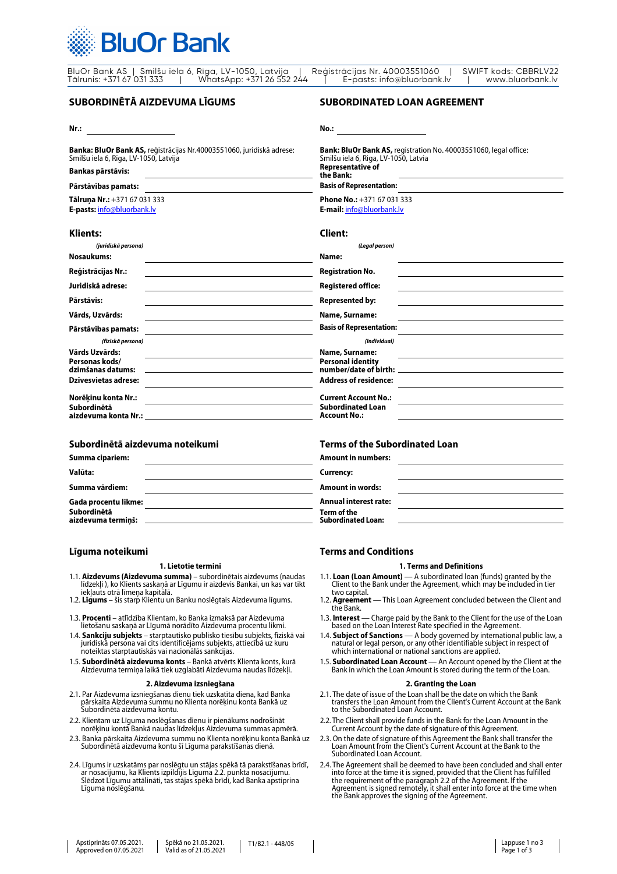

BluOr Bank AS | Smilšu iela 6, Rīga, LV-1050, Latvija | Reģistrācijas Nr. 40003551060 | SWIFT kods: CBBRLV22 Tālrunis: +371 67 031 333 | WhatsApp: +371 26 552 244 | E-pasts: info@bluorbank.lv | www.bluorbank.lv

# **SUBORDINĒTĀ AIZDEVUMA LĪGUMS**

## **Nr.:**

**Banka: BluOr Bank AS,** reģistrācijas Nr.40003551060, juridiskā adrese: Smilšu iela 6, Rīga, LV-1050, Latvija

# **Bankas pārstāvis:**

## **Pārstāvības pamats:**

**Tālruņa Nr.:** +371 67 031 333 **E-pasts:** [info@bluorbank.lv](mailto:info@bluorbank.lv)

# **Klients:**

| (juridiskā persona)                 |  |
|-------------------------------------|--|
| Nosaukums:                          |  |
| Reģistrācijas Nr.:                  |  |
| Juridiskā adrese:                   |  |
| Pārstāvis:                          |  |
| Vārds, Uzvārds:                     |  |
| Pārstāvības pamats:                 |  |
| (fiziskā persona)                   |  |
| Vārds Uzvārds:                      |  |
| Personas kods/<br>dzimšanas datums: |  |
| Dzīvesvietas adrese:                |  |
| Norēkinu konta Nr.:                 |  |
| Subordinētā<br>aizdevuma konta Nr.: |  |

# **Subordinētā aizdevuma noteikumi**

| Summa cipariem:                   |  |
|-----------------------------------|--|
| Valūta:                           |  |
| Summa vārdiem:                    |  |
| Gada procentu likme:              |  |
| Subordinētā<br>aizdevuma terminš: |  |

# **Līguma noteikumi**

#### **1. Lietotie termini**

- 1.1. **Aizdevums (Aizdevuma summa)** subordinētais aizdevums (naudas līdzekļi ), ko Klients saskaņā ar Līgumu ir aizdevis Bankai, un kas var tikt
- 1.2. Līgums šis starp Klientu un Banku noslēgtais Aizdevuma līgums.
- 1.3. **Procenti** atlīdzība Klientam, ko Banka izmaksā par Aizdevuma lietošanu saskaņā ar Līgumā norādīto Aizdevuma procentu likmi.
- 1.4. **Sankciju subjekts** starptautisko publisko tiesību subjekts, fiziskā vai juridiskā persona vai cits identificējams subjekts, attiecībā uz kuru noteiktas starptautiskās vai nacionālās sankcijas.
- 1.5. **Subordinētā aizdevuma konts** Bankā atvērts Klienta konts, kurā Aizdevuma termiņa laikā tiek uzglabāti Aizdevuma naudas līdzekļi.

## **2. Aizdevuma izsniegšana**

- 2.1. Par Aizdevuma izsniegšanas dienu tiek uzskatīta diena, kad Banka pārskaita Aizdevuma summu no Klienta norēķinu konta Bankā uz Subordinētā aizdevuma kontu.
- 2.2. Klientam uz Līguma noslēgšanas dienu ir pienākums nodrošināt norēķinu kontā Bankā naudas līdzekļus Aizdevuma summas apmērā.
- 2.3. Banka pārskaita Aizdevuma summu no Klienta norēķinu konta Bankā uz<br>Subordinētā aizdevuma kontu šī Līguma parakstīšanas dienā.
- 2.4. Līgums ir uzskatāms par noslēgtu un stājas spēkā tā parakstīšanas brīdī, ar nosacījumu, ka Klients izpildījis Līguma 2.2. punkta nosacījumu. Slēdzot Līgumu attālināti, tas stājas spēkā brīdī, kad Banka apstiprina Līguma noslēgšanu.

# **SUBORDINATED LOAN AGREEMENT**

**No.: Bank: BluOr Bank AS,** registration No. 40003551060, legal office: Smilšu iela 6, Riga, LV-1050, Latvia **Representative of the Bank: Basis of Representation: Phone No.:** +371 67 031 333 **E-mail:** [info@bluorbank.lv](mailto:info@bluorbank.lv) **Client:** 

| Name:<br><b>Registration No.</b>                                                                                                                                                                                                                          |  |
|-----------------------------------------------------------------------------------------------------------------------------------------------------------------------------------------------------------------------------------------------------------|--|
|                                                                                                                                                                                                                                                           |  |
|                                                                                                                                                                                                                                                           |  |
| <b>Registered office:</b>                                                                                                                                                                                                                                 |  |
| <b>Represented by:</b>                                                                                                                                                                                                                                    |  |
| Name, Surname:                                                                                                                                                                                                                                            |  |
| <b>Basis of Representation:</b>                                                                                                                                                                                                                           |  |
| (Individual)                                                                                                                                                                                                                                              |  |
| <b>Name, Surname:</b>                                                                                                                                                                                                                                     |  |
| <b>Personal identity</b><br>number/date of birth: when the control of the control of the control of the control of the control of the control of the control of the control of the control of the control of the control of the control of the control of |  |
| <b>Address of residence:</b>                                                                                                                                                                                                                              |  |
| <b>Current Account No.:</b>                                                                                                                                                                                                                               |  |
| <b>Subordinated Loan</b><br><b>Account No.:</b>                                                                                                                                                                                                           |  |

# **Terms of the Subordinated Loan**

| <b>Amount in numbers:</b>                |  |
|------------------------------------------|--|
| Currency:                                |  |
| <b>Amount in words:</b>                  |  |
| <b>Annual interest rate:</b>             |  |
| Term of the<br><b>Subordinated Loan:</b> |  |

# **Terms and Conditions**

## **1. Terms and Definitions**

- 1.1. **Loan (Loan Amount)** A subordinated loan (funds) granted by the Client to the Bank under the Agreement, which may be included in tier
- two capital. 1.2. **Agreement** This Loan Agreement concluded between the Client and the Bank.
- 1.3. **Interest** Charge paid by the Bank to the Client for the use of the Loan based on the Loan Interest Rate specified in the Agreement.<br>1.4. **Subject of Sanctions** A body governed by international public law, a
- 1.4. **Subject of Sanctions** A body governed by international public law, a natural or legal person, or any other identifiable subject in respect of which international or national sanctions are applied.
- 1.5. **Subordinated Loan Account** An Account opened by the Client at the Bank in which the Loan Amount is stored during the term of the Loan.

# **2. Granting the Loan**

- 2.1. The date of issue of the Loan shall be the date on which the Bank transfers the Loan Amount from the Client's Current Account at the Bank to the Subordinated Loan Account.
- 2.2. The Client shall provide funds in the Bank for the Loan Amount in the Current Account by the date of signature of this Agreement.
- 2.3. On the date of signature of this Agreement the Bank shall transfer the Loan Amount from the Client's Current Account at the Bank to the Subordinated Loan Account.
- 2.4. The Agreement shall be deemed to have been concluded and shall enter into force at the time it is signed, provided that the Client has fulfilled the requirement of the paragraph 2.2 of the Agreement. If the Agreement is signed remotely, it shall enter into force at the time when the Bank approves the signing of the Agreement.

Spēkā no 21.05.2021. Valid as of 21.05.2021 T1/B2.1 - 448/05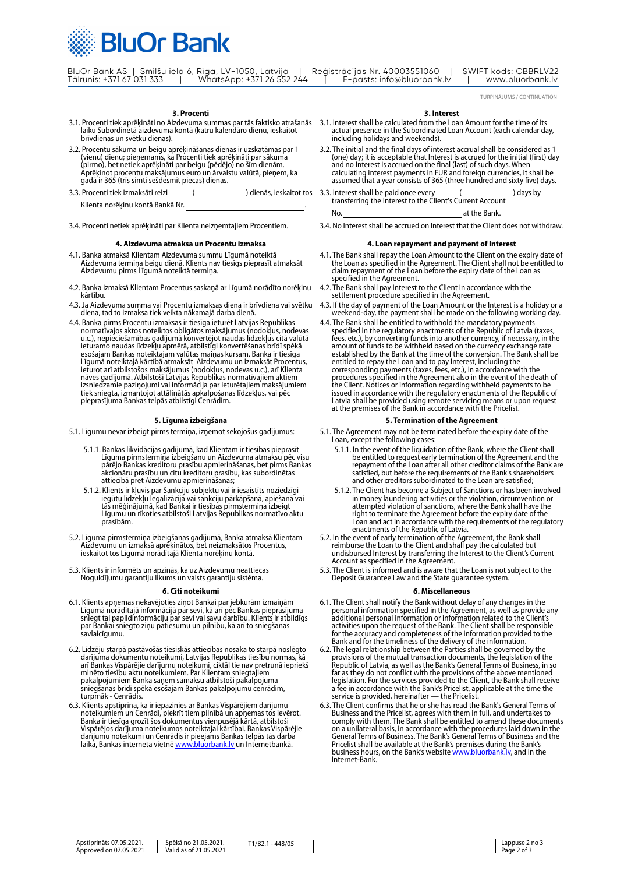

|                           | BluOr Bank AS   Smilšu iela 6, Rīga, LV-1050, Latvija | Reģistrācijas Nr. 40003551060 | SWIFT kods: CBBRLV22 |
|---------------------------|-------------------------------------------------------|-------------------------------|----------------------|
| Tālrunis: +371 67 031 333 | WhatsApp: +371 26 552 244                             | E-pasts: info@bluorbank.lv    | www.bluorbank.ly     |

TURPINĀJUMS / CONTINUATION

- **3. Procenti**<br>3. Procenti tiek aprēkināti no Aizdevuma summas par tās faktisko atrašanās 3.1. Interest shall be calculated from the Loan Amount for the time of its 3.1. Procenti tiek aprēķināti no Aizdevuma summas par tās faktisko atrašanās laiku Subordinētā aizdevuma kontā (katru kalendāro dienu, ieskaitot brīvdienas un svētku dienas).
- 3.2. Procentu sākuma un beigu aprēķināšanas dienas ir uzskatāmas par 1 (vienu) dienu; pieņemams, ka Procenti tiek aprēķināti par sākuma (pirmo), bet netiek aprēķināti par beigu (pēdējo) no šīm dienām. Aprēķinot procentu maksājumus euro un ārvalstu valūtā, pieņem, ka gadā ir 365 (trīs simti sešdesmit piecas) dienas.
- 3.3. Procenti tiek izmaksāti reizi Klienta norēķinu kontā Bankā Nr. .
- 3.4. Procenti netiek aprēķināti par Klienta neizņemtajiem Procentiem.

#### **4. Aizdevuma atmaksa un Procentu izmaksa**

- 4.1. Banka atmaksā Klientam Aizdevuma summu Līgumā noteiktā Aizdevuma termiņa beigu dienā. Klients nav tiesīgs pieprasīt atmaksāt Aizdevumu pirms Līgumā noteiktā termiņa.
- 4.2. Banka izmaksā Klientam Procentus saskaņā ar Līgumā norādīto norēķinu kārtību.
- 4.3. Ja Aizdevuma summa vai Procentu izmaksas diena ir brīvdiena vai svētku diena, tad to izmaksa tiek veikta nākamajā darba dienā.
- 4.4. Banka pirms Procentu izmaksas ir tiesīga ieturēt Latvijas Republikas<br>normatīvajos aktos noteiktos obligātos maksājumus (nodokļus, nodevas<br>u.c.), nepieciešamības gadījumā konvertējot naudas līdzekļus citā valūtā<br>ietura izsniedzamie paziņojumi vai informācija par ieturētajiem maksājumiem<br>tiek sniegta, izmantojot attālinātās apkalpošanas līdzekļus, vai pēc<br>pieprasījuma Bankas telpās atbilstīgi Cenrādim.

#### **5. Līguma izbeigšana**

- 5.1. Līgumu nevar izbeigt pirms termiņa, izņemot sekojošus gadījumus:
	- 5.1.1. Bankas likvidācijas gadījumā, kad Klientam ir tiesības pieprasīt Līguma pirmstermiņa izbeigšanu un Aizdevuma atmaksu pēc visu <sup>p</sup>ārējo Bankas kreditoru prasību apmierināšanas, bet pirms Bankas akcionāru prasību un citu kreditoru prasību, kas subordinētas attiecībā pret Aizdevumu apmierināšanas;
	- 5.1.2. Klients ir kļuvis par Sankciju subjektu vai ir iesaistīts noziedzīgi iegūtu līdzekļu legalizācijā vai sankciju pārkāpšanā, apiešanā vai tās mēģinājumā, kad Bankai ir tiesības pirmstermiņa izbeigt Līgumu un rīkoties atbilstoši Latvijas Republikas normatīvo aktu prasībām.
- 5.2. Līguma pirmstermiņa izbeigšanas gadījumā, Banka atmaksā Klientam Aizdevumu un izmaksā aprēķinātos, bet neizmaksātos Procentus, ieskaitot tos Līgumā norādītajā Klienta norēķinu kontā.
- 5.3. Klients ir informēts un apzinās, ka uz Aizdevumu neattiecas Noguldījumu garantiju likums un valsts garantiju sistēma.

#### **6. Citi noteikumi**

- 6.1. Klients apņemas nekavējoties ziņot Bankai par jebkurām izmaiņām<br>Līgumā norādītajā informācijā par sevi, kā arī pēc Bankas pieprasījuma<br>sniegt tai papildinformāciju par sevi vai savu darbību. Klients ir atbildīgs<br>par B
- 6.2. Līdzēju starpā pastāvošās tiesiskās attiecības nosaka to starpā noslēgto darījuma dokumentu noteikumi, Latvijas Republikas tiesību normas, k<sup>ā</sup> arī Bankas Vispārējie darījumu noteikumi, ciktāl tie nav pretrunā iepriekš minēto tiesību aktu noteikumiem. Par Klientam sniegtajiem pakalpojumiem Banka saņem samaksu atbilstoši pakalpojuma sniegšanas brīdī spēkā esošajam Bankas pakalpojumu cenrādim, turpmāk - Cenrādis.
- 6.3. Klients apstiprina, ka ir iepazinies ar Bankas Vispārējiem darījumu noteikumiem un Cenrādi, piekrīt tiem pilnībā un apņemas tos ievērot.<br>Banka ir tiesīga grozīt šos dokumentus vienpusējā kārtā, atbilstoši<br>Vispārējos darījuma noteikumos noteiktajai kārtībai. Bankas Vispārējie darījumu noteikumi un Cenrādis ir pieejams Bankas telpās tās darba<br>laikā, Bankas interneta vietnē <u>www.bluorbank.lv</u> un Internetbankā.

#### **3. Interest**

- 3.1. Interest shall be calculated from the Loan Amount for the time of its actual presence in the Subordinated Loan Account (each calendar day, including holidays and weekends).
- 3.2. The initial and the final days of interest accrual shall be considered as 1 (one) day; it is acceptable that Interest is accrued for the initial (first) day and no Interest is accrued on the final (last) of such days. When calculating interest payments in EUR and foreign currencies, it shall be assumed that a year consists of 365 (three hundred and sixty five) days.
- ) dienās, ieskaitot tos 3.3. Interest shall be paid once every ( ) days by transferring the Interest to the Client's Current Account No. at the Bank.
	- 3.4. No Interest shall be accrued on Interest that the Client does not withdraw.

#### **4. Loan repayment and payment of Interest**

- 4.1. The Bank shall repay the Loan Amount to the Client on the expiry date of the Loan as specified in the Agreement. The Client shall not be entitled to claim repayment of the Loan before the expiry date of the Loan as specified in the Agreement.
- 4.2. The Bank shall pay Interest to the Client in accordance with the settlement procedure specified in the Agreement.
- 4.3. If the day of payment of the Loan Amount or the Interest is a holiday or a weekend-day, the payment shall be made on the following working day.
- 4.4. The Bank shall be entitled to withhold the mandatory payments<br>specified in the regulatory enactments of the Republic of Latvia (taxes,<br>fees, etc.), by converting funds into another currency, if necessary, in the rees, etc.), by converting tunds into another currency, if necessary, in the amount of funds to be withheld based on the currency exchange rate established by the Bank at the time of the conversion. The Bank shall be entit procedures specified in the Agreement also in the event of the death of the Client. Notices or information regarding withheld payments to be issued in accordance with the regulatory enactments of the Republic of Latvia shall be provided using remote servicing means or upon request at the premises of the Bank in accordance with the Pricelist.

### **5. Termination of the Agreement**

5.1. The Agreement may not be terminated before the expiry date of the Loan, except the following cases:

- 5.1.1. In the event of the liquidation of the Bank, where the Client shall<br>be entitled to request early termination of the Agreement and the repayment of the Loan after all other creditor claims of the Bank are<br>satisfied, but before the requirements of the Bank's shareholders<br>and other creditors subordinated to the Loan are satisfied;
- 5.1.2. The Client has become a Subject of Sanctions or has been involved attempted violation of sanctions, where the Bank shall have the<br>right to terminate the Agreement before the expiry date of the<br>right to terminate the Agreement before the expiry date of the<br>loan and act in accordance with
- undisbursed Interest by transferring the Interest to the Client's Current Account as specified in the Agreement.
- 5.3. The Client is informed and is aware that the Loan is not subject to the Deposit Guarantee Law and the State guarantee system.

#### **6. Miscellaneous**

- 6.1. The Client shall notify the Bank without delay of any changes in the personal information specified in the Agreement, as well as provide any<br>additional personal information or information related to the Client's<br>activities upon the request of the Bank. The Client shall be responsible for the accuracy and completeness of the information provided to the Bank and for the timeliness of the delivery of the information. 6.2. The legal relationship between the Parties shall be governed by the
- provisions of the mutual transaction documents, the legislation of the Republic of Latvia, as well as the Bank's General Terms of Business, in so far as they do not conflict with the provisions of the above mentioned legislation. For the services provided to the Client, the Bank shall receive a fee in accordance with the Bank's Pricelist, applicable at the time the service is provided, hereinafter — the Pricelist.
- 6.3. The Client confirms that he or she has read the Bank's General Terms of Business and the Pricelist, agrees with them in full, and undertakes to<br>comply with them. The Bank shall be entitled to amend these documents<br>on a unilateral basis, in accordance with the procedures laid down in the<br>Genera Pricelist shall be available at the Bank'[s premises during t](https://www.bluorbank.lv/en/index)he Bank's business hours, on the Bank's website [www.bluorbank.lv,](https://www.bluorbank.lv/en/index) and in the Internet-Bank.

Spēkā no 21.05.2021. Valid as of 21.05.2021